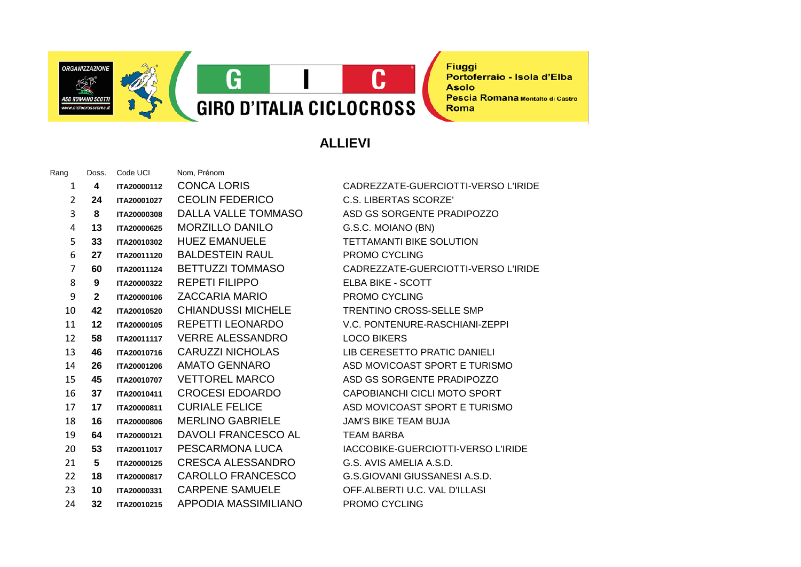

**Fiuggi** Portoferraio - Isola d'Elba **Asolo** Pescia Romana Montalto di Castro Roma

## **ALLIEVI**

C

| Rang | Doss.        | Code UCI    | Nom, Prénom                |
|------|--------------|-------------|----------------------------|
| 1    | 4            | ITA20000112 | CONCA LORIS                |
| 2    | 24           | ITA20001027 | <b>CEOLIN FEDERICO</b>     |
| 3    | 8            | ITA20000308 | <b>DALLA VALLE TOMMASO</b> |
| 4    | 13           | ITA20000625 | <b>MORZILLO DANILO</b>     |
| 5    | 33           | ITA20010302 | HUEZ EMANUELE              |
| 6    | 27           | ITA20011120 | <b>BALDESTEIN RAUL</b>     |
| 7    | 60           | ITA20011124 | BETTUZZI TOMMASO           |
| 8    | 9            | ITA20000322 | <b>REPETI FILIPPO</b>      |
| 9    | $\mathbf{2}$ | ITA20000106 | <b>ZACCARIA MARIO</b>      |
| 10   | 42           | ITA20010520 | <b>CHIANDUSSI MICHELE</b>  |
| 11   | 12           | ITA20000105 | REPETTI LEONARDO           |
| 12   | 58           | ITA20011117 | <b>VERRE ALESSANDRO</b>    |
| 13   | 46           | ITA20010716 | <b>CARUZZI NICHOLAS</b>    |
| 14   | 26           | ITA20001206 | AMATO GENNARO              |
| 15   | 45           | ITA20010707 | VETTOREL MARCO             |
| 16   | 37           | ITA20010411 | <b>CROCESI EDOARDO</b>     |
| 17   | 17           | ITA20000811 | <b>CURIALE FELICE</b>      |
| 18   | 16           | ITA20000806 | <b>MERLINO GABRIELE</b>    |
| 19   | 64           | ITA20000121 | <b>DAVOLI FRANCESCO AL</b> |
| 20   | 53           | ITA20011017 | PESCARMONA LUCA            |
| 21   | 5            | ITA20000125 | <b>CRESCA ALESSANDRO</b>   |
| 22   | 18           | ITA20000817 | CAROLLO FRANCESCO          |
| 23   | 10           | ITA20000331 | CARPENE SAMUELE            |
| 24   | 32           | ITA20010215 | APPODIA MASSIMILIANO       |

1 **4 ITA20000112** CONCA LORIS CADREZZATE-GUERCIOTTI-VERSO L'IRIDE **C.S. LIBERTAS SCORZE' ASD GS SORGENTE PRADIPOZZO**  $G.S.C.$  MOIANO (BN) 5 **33 ITA20010302** HUEZ EMANUELE TETTAMANTI BIKE SOLUTION **PROMO CYCLING** 7 **60 ITA20011124** BETTUZZI TOMMASO CADREZZATE-GUERCIOTTI-VERSO L'IRIDE **FI BA BIKE - SCOTT PROMO CYCLING TRENTINO CROSS-SELLE SMP** 11 **12 ITA20000105** REPETTI LEONARDO V.C. PONTENURE-RASCHIANI-ZEPPI **LOCO BIKERS LIB CERESETTO PRATIC DANIELI ASD MOVICOAST SPORT E TURISMO ASD GS SORGENTE PRADIPOZZO** 16 **37 ITA20010411** CROCESI EDOARDO CAPOBIANCHI CICLI MOTO SPORT **ASD MOVICOAST SPORT E TURISMO JAM'S BIKE TEAM BUJA TEAM BARBA IACCOBIKE-GUERCIOTTI-VERSO L'IRIDE G.S. AVIS AMELIA A.S.D.** 22 **18 ITA20000817** CAROLLO FRANCESCO G.S.GIOVANI GIUSSANESI A.S.D. **OFF.ALBERTI U.C. VAL D'ILLASI** 24 **32 ITA20010215** APPODIA MASSIMILIANO PROMO CYCLING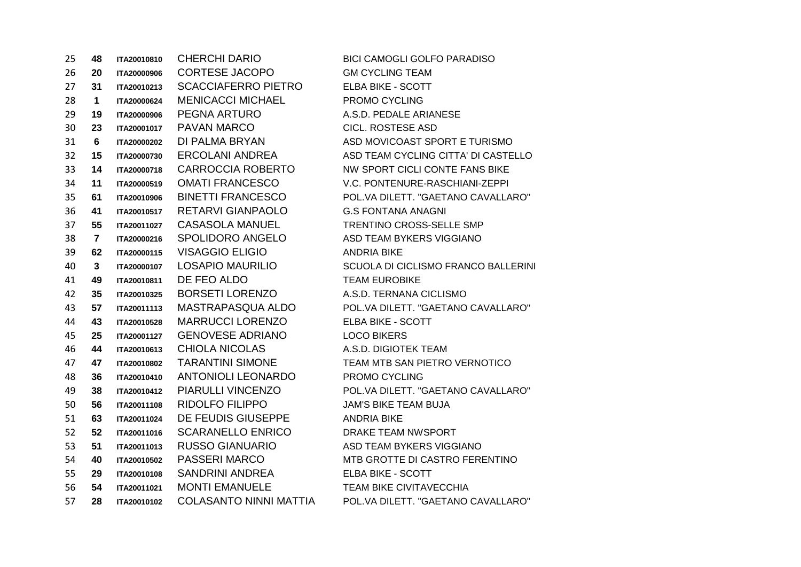| 25 | 48             | ITA20010810 | <b>CHERCHI DARIO</b>          | <b>BICI CAMOGLI GOLFO PARADISO</b>  |
|----|----------------|-------------|-------------------------------|-------------------------------------|
| 26 | 20             | ITA20000906 | <b>CORTESE JACOPO</b>         | <b>GM CYCLING TEAM</b>              |
| 27 | 31             | ITA20010213 | <b>SCACCIAFERRO PIETRO</b>    | <b>ELBA BIKE - SCOTT</b>            |
| 28 | $\mathbf{1}$   | ITA20000624 | <b>MENICACCI MICHAEL</b>      | PROMO CYCLING                       |
| 29 | 19             | ITA20000906 | PEGNA ARTURO                  | A.S.D. PEDALE ARIANESE              |
| 30 | 23             | ITA20001017 | <b>PAVAN MARCO</b>            | CICL. ROSTESE ASD                   |
| 31 | 6              | ITA20000202 | DI PALMA BRYAN                | ASD MOVICOAST SPORT E TURISMO       |
| 32 | 15             | ITA20000730 | <b>ERCOLANI ANDREA</b>        | ASD TEAM CYCLING CITTA' DI CASTELLO |
| 33 | 14             | ITA20000718 | <b>CARROCCIA ROBERTO</b>      | NW SPORT CICLI CONTE FANS BIKE      |
| 34 | 11             | ITA20000519 | <b>OMATI FRANCESCO</b>        | V.C. PONTENURE-RASCHIANI-ZEPPI      |
| 35 | 61             | ITA20010906 | <b>BINETTI FRANCESCO</b>      | POL. VA DILETT. "GAETANO CAVALLARO" |
| 36 | 41             | ITA20010517 | <b>RETARVI GIANPAOLO</b>      | <b>G.S FONTANA ANAGNI</b>           |
| 37 | 55             | ITA20011027 | <b>CASASOLA MANUEL</b>        | TRENTINO CROSS-SELLE SMP            |
| 38 | $\overline{7}$ | ITA20000216 | SPOLIDORO ANGELO              | ASD TEAM BYKERS VIGGIANO            |
| 39 | 62             | ITA20000115 | <b>VISAGGIO ELIGIO</b>        | <b>ANDRIA BIKE</b>                  |
| 40 | $\mathbf{3}$   | ITA20000107 | <b>LOSAPIO MAURILIO</b>       | SCUOLA DI CICLISMO FRANCO BALLERINI |
| 41 | 49             | ITA20010811 | DE FEO ALDO                   | <b>TEAM EUROBIKE</b>                |
| 42 | 35             | ITA20010325 | <b>BORSETI LORENZO</b>        | A.S.D. TERNANA CICLISMO             |
| 43 | 57             | ITA20011113 | MASTRAPASQUA ALDO             | POL. VA DILETT. "GAETANO CAVALLARO" |
| 44 | 43             | ITA20010528 | <b>MARRUCCI LORENZO</b>       | <b>ELBA BIKE - SCOTT</b>            |
| 45 | 25             | ITA20001127 | <b>GENOVESE ADRIANO</b>       | <b>LOCO BIKERS</b>                  |
| 46 | 44             | ITA20010613 | <b>CHIOLA NICOLAS</b>         | A.S.D. DIGIOTEK TEAM                |
| 47 | 47             | ITA20010802 | <b>TARANTINI SIMONE</b>       | TEAM MTB SAN PIETRO VERNOTICO       |
| 48 | 36             | ITA20010410 | <b>ANTONIOLI LEONARDO</b>     | PROMO CYCLING                       |
| 49 | 38             | ITA20010412 | PIARULLI VINCENZO             | POL. VA DILETT. "GAETANO CAVALLARO" |
| 50 | 56             | ITA20011108 | <b>RIDOLFO FILIPPO</b>        | <b>JAM'S BIKE TEAM BUJA</b>         |
| 51 | 63             | ITA20011024 | DE FEUDIS GIUSEPPE            | <b>ANDRIA BIKE</b>                  |
| 52 | 52             | ITA20011016 | <b>SCARANELLO ENRICO</b>      | <b>DRAKE TEAM NWSPORT</b>           |
| 53 | 51             | ITA20011013 | <b>RUSSO GIANUARIO</b>        | ASD TEAM BYKERS VIGGIANO            |
| 54 | 40             | ITA20010502 | <b>PASSERI MARCO</b>          | MTB GROTTE DI CASTRO FERENTINO      |
| 55 | 29             | ITA20010108 | <b>SANDRINI ANDREA</b>        | <b>ELBA BIKE - SCOTT</b>            |
| 56 | 54             | ITA20011021 | <b>MONTI EMANUELE</b>         | TEAM BIKE CIVITAVECCHIA             |
| 57 | 28             | ITA20010102 | <b>COLASANTO NINNI MATTIA</b> | POL. VA DILETT. "GAETANO CAVALLARO" |